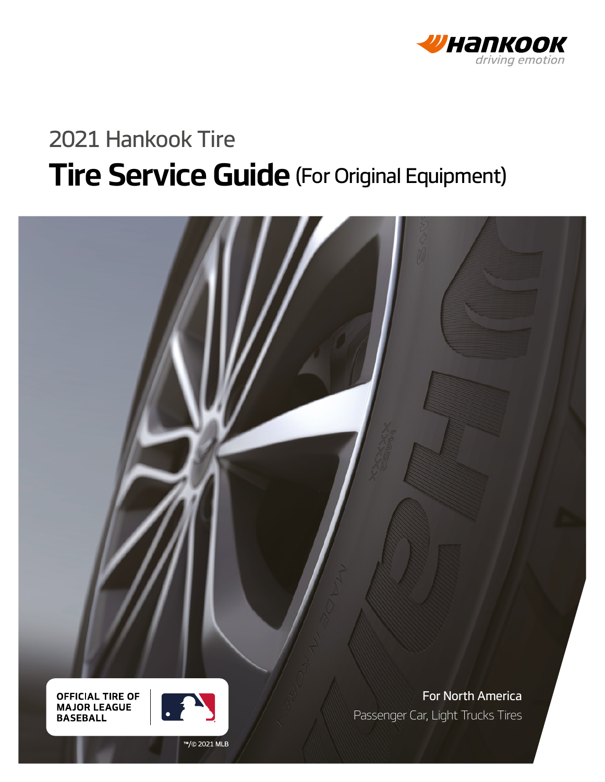

# 2021 Hankook Tire **Tire Service Guide** (For Original Equipment)



**OFFICIAL TIRE OF MAJOR LEAGUE BASEBALL** 



For North America Passenger Car, Light Trucks Tires

™/© 2021 MLB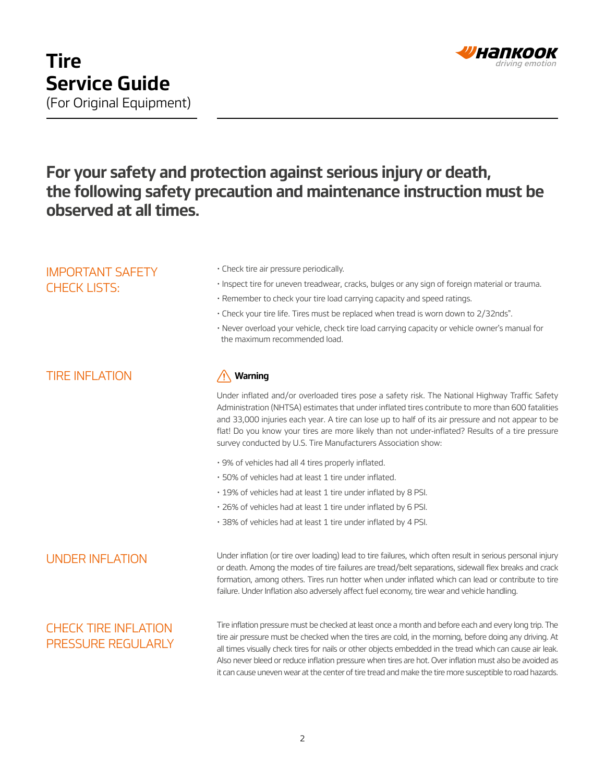

## **For your safety and protection against serious injury or death, the following safety precaution and maintenance instruction must be observed at all times.**

## IMPORTANT SAFETY CHECK LISTS:

- Check tire air pressure periodically.
- Inspect tire for uneven treadwear, cracks, bulges or any sign of foreign material or trauma.
- Remember to check your tire load carrying capacity and speed ratings.
- Check your tire life. Tires must be replaced when tread is worn down to 2/32nds".
- Never overload your vehicle, check tire load carrying capacity or vehicle owner's manual for the maximum recommended load.

## TIRE INFLATION **Warning**

Under inflated and/or overloaded tires pose a safety risk. The National Highway Traffic Safety Administration (NHTSA) estimates that under inflated tires contribute to more than 600 fatalities and 33,000 injuries each year. A tire can lose up to half of its air pressure and not appear to be flat! Do you know your tires are more likely than not under-inflated? Results of a tire pressure survey conducted by U.S. Tire Manufacturers Association show:

- 9% of vehicles had all 4 tires properly inflated.
- 50% of vehicles had at least 1 tire under inflated.
- 19% of vehicles had at least 1 tire under inflated by 8 PSI.
- 26% of vehicles had at least 1 tire under inflated by 6 PSI.
- 38% of vehicles had at least 1 tire under inflated by 4 PSI.

UNDER INFLATION Under inflation (or tire over loading) lead to tire failures, which often result in serious personal injury or death. Among the modes of tire failures are tread/belt separations, sidewall flex breaks and crack formation, among others. Tires run hotter when under inflated which can lead or contribute to tire failure. Under Inflation also adversely affect fuel economy, tire wear and vehicle handling.

## CHECK TIRE INFLATION PRESSURE REGULARLY

Tire inflation pressure must be checked at least once a month and before each and every long trip. The tire air pressure must be checked when the tires are cold, in the morning, before doing any driving. At all times visually check tires for nails or other objects embedded in the tread which can cause air leak. Also never bleed or reduce inflation pressure when tires are hot. Over inflation must also be avoided as it can cause uneven wear at the center of tire tread and make the tire more susceptible to road hazards.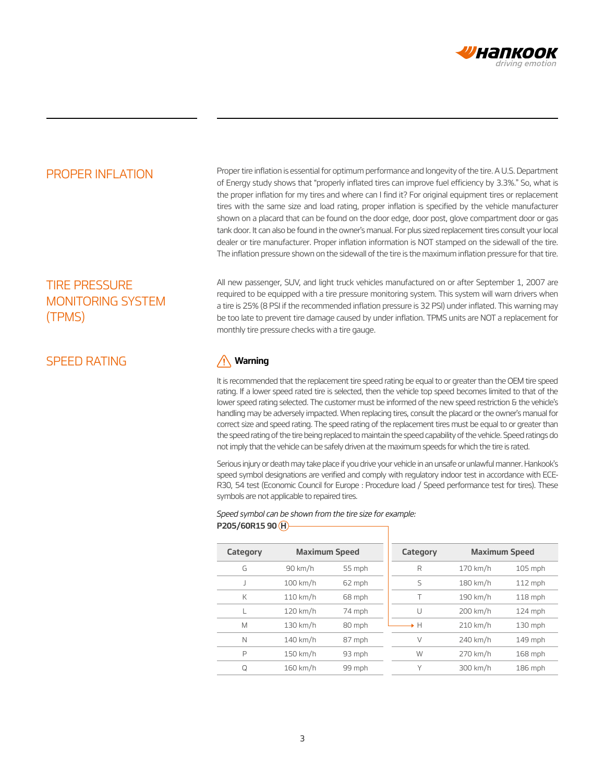

PROPER INFLATION Proper tire inflation is essential for optimum performance and longevity of the tire. A U.S. Department of Energy study shows that "properly inflated tires can improve fuel efficiency by 3.3%." So, what is the proper inflation for my tires and where can I find it? For original equipment tires or replacement tires with the same size and load rating, proper inflation is specified by the vehicle manufacturer shown on a placard that can be found on the door edge, door post, glove compartment door or gas tank door. It can also be found in the owner's manual. For plus sized replacement tires consult your local dealer or tire manufacturer. Proper inflation information is NOT stamped on the sidewall of the tire. The inflation pressure shown on the sidewall of the tire is the maximum inflation pressure for that tire.

## TIRE PRESSURE MONITORING SYSTEM (TPMS)

SPEED RATING **Warning**

All new passenger, SUV, and light truck vehicles manufactured on or after September 1, 2007 are required to be equipped with a tire pressure monitoring system. This system will warn drivers when a tire is 25% (8 PSI if the recommended inflation pressure is 32 PSI) under inflated. This warning may be too late to prevent tire damage caused by under inflation. TPMS units are NOT a replacement for monthly tire pressure checks with a tire gauge.

It is recommended that the replacement tire speed rating be equal to or greater than the OEM tire speed rating. If a lower speed rated tire is selected, then the vehicle top speed becomes limited to that of the lower speed rating selected. The customer must be informed of the new speed restriction & the vehicle's handling may be adversely impacted. When replacing tires, consult the placard or the owner's manual for correct size and speed rating. The speed rating of the replacement tires must be equal to or greater than the speed rating of the tire being replaced to maintain the speed capability of the vehicle. Speed ratings do not imply that the vehicle can be safely driven at the maximum speeds for which the tire is rated.

Serious injury or death may take place if you drive your vehicle in an unsafe or unlawful manner. Hankook's speed symbol designations are verified and comply with regulatory indoor test in accordance with ECE-R30, 54 test (Economic Council for Europe : Procedure load / Speed performance test for tires). These symbols are not applicable to repaired tires.

### Speed symbol can be shown from the tire size for example: **P205/60R15 90 H**

| Category | <b>Maximum Speed</b> |        | Category | <b>Maximum Speed</b> |           |
|----------|----------------------|--------|----------|----------------------|-----------|
| G        | 90 km/h              | 55 mph | R        | 170 km/h             | $105$ mph |
| J        | 100 km/h             | 62 mph | S        | 180 km/h             | 112 mph   |
| К        | $110$ km/h           | 68 mph | Τ        | 190 km/h             | 118 mph   |
| L        | 120 km/h             | 74 mph | U        | 200 km/h             | 124 mph   |
| M        | 130 km/h             | 80 mph | →H       | 210 km/h             | 130 mph   |
| N        | 140 km/h             | 87 mph | $\vee$   | 240 km/h             | 149 mph   |
| P        | 150 km/h             | 93 mph | W        | 270 km/h             | 168 mph   |
| Q        | 160 km/h             | 99 mph | Υ        | 300 km/h             | $186$ mph |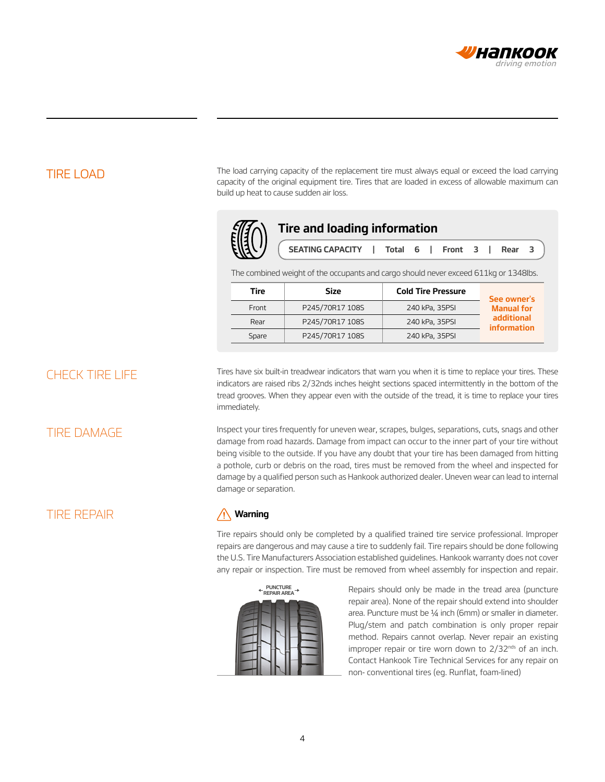

TIRE LOAD The load carrying capacity of the replacement tire must always equal or exceed the load carrying capacity of the original equipment tire. Tires that are loaded in excess of allowable maximum can build up heat to cause sudden air loss.



The combined weight of the occupants and cargo should never exceed 611kg or 1348Ibs.

| Tire  | <b>Cold Tire Pressure</b><br>Size<br>P245/70R17 108S<br>240 kPa, 35PSI<br>Front |                | See owner's                      |
|-------|---------------------------------------------------------------------------------|----------------|----------------------------------|
|       |                                                                                 |                | <b>Manual for</b>                |
| Rear  | P245/70R17 108S                                                                 | 240 kPa, 35PSI | additional<br><i>information</i> |
| Spare | P245/70R17 108S                                                                 | 240 kPa, 35PSI |                                  |

CHECK TIRE LIFE Tires have six built-in treadwear indicators that warn you when it is time to replace your tires. These indicators are raised ribs 2/32nds inches height sections spaced intermittently in the bottom of the tread grooves. When they appear even with the outside of the tread, it is time to replace your tires immediately.

TIRE DAMAGE **Inspect your tires frequently for uneven wear**, scrapes, bulges, separations, cuts, snags and other damage from road hazards. Damage from impact can occur to the inner part of your tire without being visible to the outside. If you have any doubt that your tire has been damaged from hitting a pothole, curb or debris on the road, tires must be removed from the wheel and inspected for damage by a qualified person such as Hankook authorized dealer. Uneven wear can lead to internal damage or separation.

## TIRE REPAIR

### $\sqrt{N}$ **Warning**

Tire repairs should only be completed by a qualified trained tire service professional. Improper repairs are dangerous and may cause a tire to suddenly fail. Tire repairs should be done following the U.S. Tire Manufacturers Association established guidelines. Hankook warranty does not cover any repair or inspection. Tire must be removed from wheel assembly for inspection and repair.

| PUNCTURE<br>REPAIR AREA |  |  |  |  |  |
|-------------------------|--|--|--|--|--|
|                         |  |  |  |  |  |

Repairs should only be made in the tread area (puncture repair area). None of the repair should extend into shoulder area. Puncture must be ¼ inch (6mm) or smaller in diameter. Plug/stem and patch combination is only proper repair method. Repairs cannot overlap. Never repair an existing improper repair or tire worn down to  $2/32^{nds}$  of an inch. Contact Hankook Tire Technical Services for any repair on non- conventional tires (eg. Runflat, foam-lined)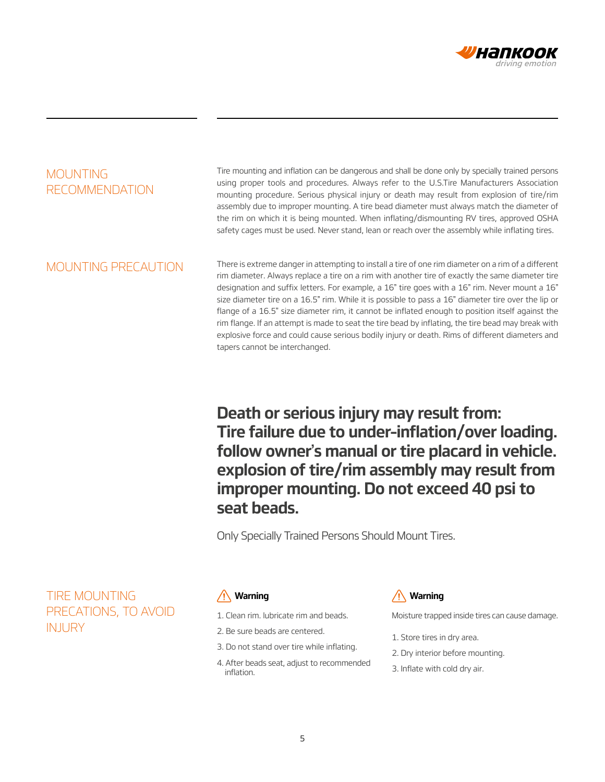

## MOUNTING RECOMMENDATION

Tire mounting and inflation can be dangerous and shall be done only by specially trained persons using proper tools and procedures. Always refer to the U.S.Tire Manufacturers Association mounting procedure. Serious physical injury or death may result from explosion of tire/rim assembly due to improper mounting. A tire bead diameter must always match the diameter of the rim on which it is being mounted. When inflating/dismounting RV tires, approved OSHA safety cages must be used. Never stand, lean or reach over the assembly while inflating tires.

MOUNTING PRECAUTION There is extreme danger in attempting to install a tire of one rim diameter on a rim of a different rim diameter. Always replace a tire on a rim with another tire of exactly the same diameter tire designation and suffix letters. For example, a 16" tire goes with a 16" rim. Never mount a 16" size diameter tire on a 16.5" rim. While it is possible to pass a 16" diameter tire over the lip or flange of a 16.5" size diameter rim, it cannot be inflated enough to position itself against the rim flange. If an attempt is made to seat the tire bead by inflating, the tire bead may break with explosive force and could cause serious bodily injury or death. Rims of different diameters and tapers cannot be interchanged.

> **Death or serious injury may result from: Tire failure due to under–inflation/over loading. follow owner's manual or tire placard in vehicle. explosion of tire/rim assembly may result from improper mounting. Do not exceed 40 psi to seat beads.**

Only Specially Trained Persons Should Mount Tires.

TIRE MOUNTING PRECATIONS, TO AVOID **INJURY** 

- 1. Clean rim. lubricate rim and beads.
- 2. Be sure beads are centered.
- 3. Do not stand over tire while inflating.
- 4. After beads seat, adjust to recommended inflation.

### **Warning Warning**

Moisture trapped inside tires can cause damage.

- 1. Store tires in dry area.
- 2. Dry interior before mounting.
- 3. Inflate with cold dry air.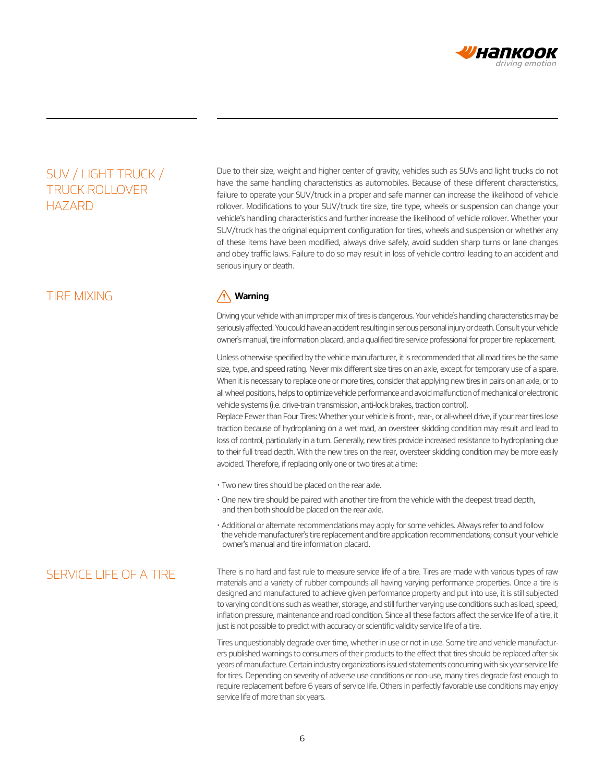

## SUV / LIGHT TRUCK / TRUCK ROLLOVER HAZARD

### TIRE MIXING

Due to their size, weight and higher center of gravity, vehicles such as SUVs and light trucks do not have the same handling characteristics as automobiles. Because of these different characteristics, failure to operate your SUV/truck in a proper and safe manner can increase the likelihood of vehicle rollover. Modifications to your SUV/truck tire size, tire type, wheels or suspension can change your vehicle's handling characteristics and further increase the likelihood of vehicle rollover. Whether your SUV/truck has the original equipment configuration for tires, wheels and suspension or whether any of these items have been modified, always drive safely, avoid sudden sharp turns or lane changes and obey traffic laws. Failure to do so may result in loss of vehicle control leading to an accident and serious injury or death.

### **Warning**

Driving your vehicle with an improper mix of tires is dangerous. Your vehicle's handling characteristics may be seriously affected. You could have an accident resulting in serious personal injury or death. Consult your vehicle owner's manual, tire information placard, and a qualified tire service professional for proper tire replacement.

Unless otherwise specified by the vehicle manufacturer, it is recommended that all road tires be the same size, type, and speed rating. Never mix different size tires on an axle, except for temporary use of a spare. When it is necessary to replace one or more tires, consider that applying new tires in pairs on an axle, or to all wheel positions, helps to optimize vehicle performance and avoid malfunction of mechanical or electronic vehicle systems (i.e. drive-train transmission, anti-lock brakes, traction control).

Replace Fewer than Four Tires: Whether your vehicle is front-, rear-, or all-wheel drive, if your rear tires lose traction because of hydroplaning on a wet road, an oversteer skidding condition may result and lead to loss of control, particularly in a turn. Generally, new tires provide increased resistance to hydroplaning due to their full tread depth. With the new tires on the rear, oversteer skidding condition may be more easily avoided. Therefore, if replacing only one or two tires at a time:

- Two new tires should be placed on the rear axle.
- One new tire should be paired with another tire from the vehicle with the deepest tread depth, and then both should be placed on the rear axle.
- Additional or alternate recommendations may apply for some vehicles. Always refer to and follow the vehicle manufacturer's tire replacement and tire application recommendations; consult your vehicle owner's manual and tire information placard.

SERVICE LIFE OF A TIRE There is no hard and fast rule to measure service life of a tire. Tires are made with various types of raw materials and a variety of rubber compounds all having varying performance properties. Once a tire is designed and manufactured to achieve given performance property and put into use, it is still subjected to varying conditions such as weather, storage, and still further varying use conditions such as load, speed, inflation pressure, maintenance and road condition. Since all these factors affect the service life of a tire, it just is not possible to predict with accuracy or scientific validity service life of a tire.

> Tires unquestionably degrade over time, whether in use or not in use. Some tire and vehicle manufacturers published warnings to consumers of their products to the effect that tires should be replaced after six years of manufacture. Certain industry organizations issued statements concurring with six year service life for tires. Depending on severity of adverse use conditions or non-use, many tires degrade fast enough to require replacement before 6 years of service life. Others in perfectly favorable use conditions may enjoy service life of more than six years.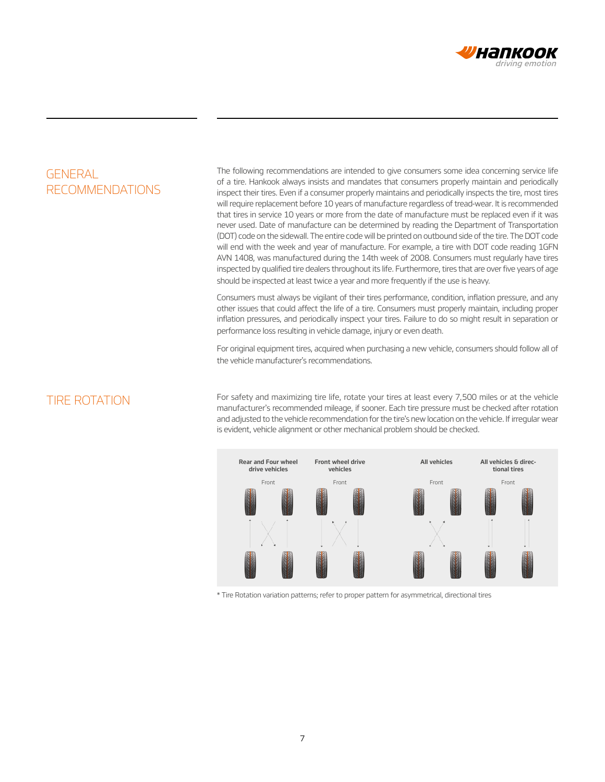

## **GENERAL** RECOMMENDATIONS

The following recommendations are intended to give consumers some idea concerning service life of a tire. Hankook always insists and mandates that consumers properly maintain and periodically inspect their tires. Even if a consumer properly maintains and periodically inspects the tire, most tires will require replacement before 10 years of manufacture regardless of tread-wear. It is recommended that tires in service 10 years or more from the date of manufacture must be replaced even if it was never used. Date of manufacture can be determined by reading the Department of Transportation (DOT) code on the sidewall. The entire code will be printed on outbound side of the tire. The DOT code will end with the week and year of manufacture. For example, a tire with DOT code reading 1GFN AVN 1408, was manufactured during the 14th week of 2008. Consumers must regularly have tires inspected by qualified tire dealers throughout its life. Furthermore, tires that are over five years of age should be inspected at least twice a year and more frequently if the use is heavy.

Consumers must always be vigilant of their tires performance, condition, inflation pressure, and any other issues that could affect the life of a tire. Consumers must properly maintain, including proper inflation pressures, and periodically inspect your tires. Failure to do so might result in separation or performance loss resulting in vehicle damage, injury or even death.

For original equipment tires, acquired when purchasing a new vehicle, consumers should follow all of the vehicle manufacturer's recommendations.

TIRE ROTATION For safety and maximizing tire life, rotate your tires at least every 7,500 miles or at the vehicle manufacturer's recommended mileage, if sooner. Each tire pressure must be checked after rotation and adjusted to the vehicle recommendation for the tire's new location on the vehicle. If irregular wear is evident, vehicle alignment or other mechanical problem should be checked.



\* Tire Rotation variation patterns; refer to proper pattern for asymmetrical, directional tires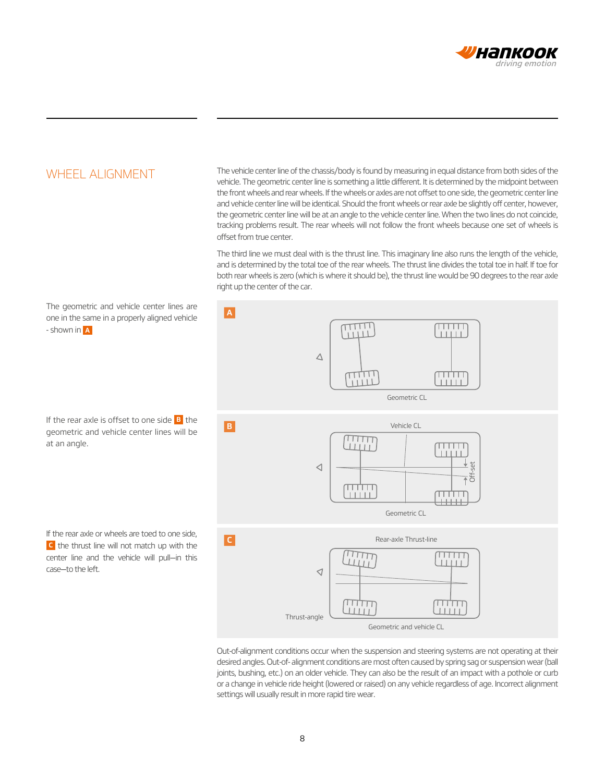

### WHEEL ALIGNMENT

The vehicle center line of the chassis/body is found by measuring in equal distance from both sides of the vehicle. The geometric center line is something a little different. It is determined by the midpoint between the front wheels and rear wheels. If the wheels or axles are not offset to one side, the geometric center line and vehicle center line will be identical. Should the front wheels or rear axle be slightly off center, however, the geometric center line will be at an angle to the vehicle center line. When the two lines do not coincide, tracking problems result. The rear wheels will not follow the front wheels because one set of wheels is offset from true center.

The third line we must deal with is the thrust line. This imaginary line also runs the length of the vehicle, and is determined by the total toe of the rear wheels. The thrust line divides the total toe in half. If toe for both rear wheels is zero (which is where it should be), the thrust line would be 90 degrees to the rear axle right up the center of the car.

The geometric and vehicle center lines are **A** one in the same in a properly aligned vehicle  $\overline{\text{min}}$  $\overline{1111}$ - shown in **A**  $1111$  $\triangle$ TTT<br>TTTT سنبيب<br>سنس Geometric CL If the rear axle is offset to one side **B** the Vehicle CL **B** geometric and vehicle center lines will be  $\frac{1}{11111}$ at an angle.  $\triangleleft$  $\bar{f}$ गागा Geometric CL If the rear axle or wheels are toed to one side, **C** Rear-axle Thrust-line **C** the thrust line will not match up with the لللللأ  $\overline{\text{HHH}}$ center line and the vehicle will pull—in this Шij case—to the left.  $\triangleleft$ l TTT. mm TITIT <u>TITITI</u> Thrust-angle Geometric and vehicle CL

> Out-of-alignment conditions occur when the suspension and steering systems are not operating at their desired angles. Out-of- alignment conditions are most often caused by spring sag or suspension wear (ball joints, bushing, etc.) on an older vehicle. They can also be the result of an impact with a pothole or curb or a change in vehicle ride height (lowered or raised) on any vehicle regardless of age. Incorrect alignment settings will usually result in more rapid tire wear.